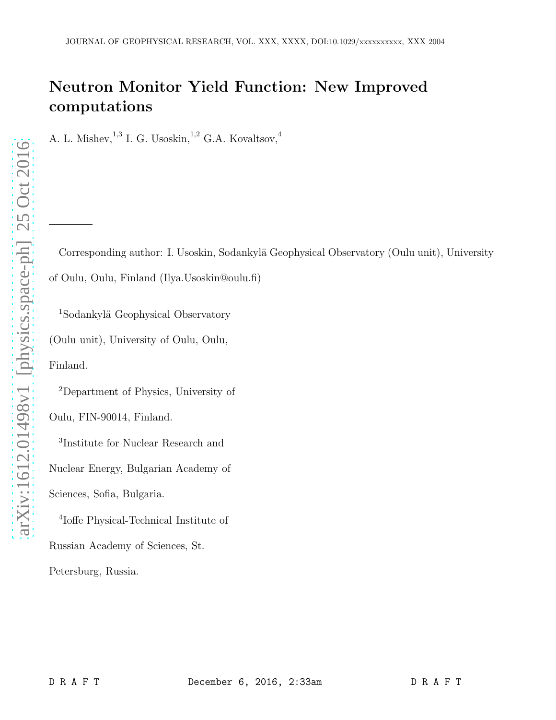# Neutron Monitor Yield Function: New Improved computations

A. L. Mishev,  $^{1,3}$  I. G. Usoskin,  $^{1,2}$  G.A. Kovaltsov,  $^{4}$ 

Corresponding author: I. Usoskin, Sodankylä Geophysical Observatory (Oulu unit), University of Oulu, Oulu, Finland (Ilya.Usoskin@oulu.fi)

<sup>1</sup>Sodankylä Geophysical Observatory (Oulu unit), University of Oulu, Oulu, Finland.

<sup>2</sup>Department of Physics, University of

Oulu, FIN-90014, Finland.

3 Institute for Nuclear Research and

Nuclear Energy, Bulgarian Academy of

Sciences, Sofia, Bulgaria.

4 Ioffe Physical-Technical Institute of Russian Academy of Sciences, St. Petersburg, Russia.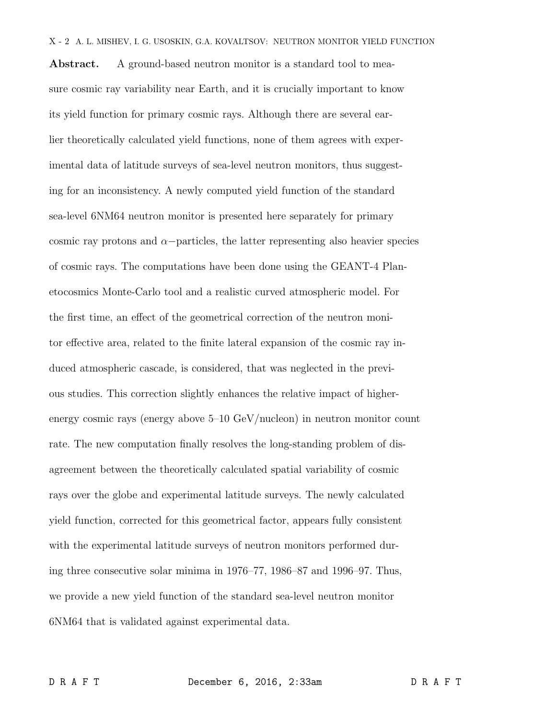Abstract. A ground-based neutron monitor is a standard tool to measure cosmic ray variability near Earth, and it is crucially important to know its yield function for primary cosmic rays. Although there are several earlier theoretically calculated yield functions, none of them agrees with experimental data of latitude surveys of sea-level neutron monitors, thus suggesting for an inconsistency. A newly computed yield function of the standard sea-level 6NM64 neutron monitor is presented here separately for primary cosmic ray protons and  $\alpha$ -particles, the latter representing also heavier species of cosmic rays. The computations have been done using the GEANT-4 Planetocosmics Monte-Carlo tool and a realistic curved atmospheric model. For the first time, an effect of the geometrical correction of the neutron monitor effective area, related to the finite lateral expansion of the cosmic ray induced atmospheric cascade, is considered, that was neglected in the previous studies. This correction slightly enhances the relative impact of higherenergy cosmic rays (energy above 5–10 GeV/nucleon) in neutron monitor count rate. The new computation finally resolves the long-standing problem of disagreement between the theoretically calculated spatial variability of cosmic rays over the globe and experimental latitude surveys. The newly calculated yield function, corrected for this geometrical factor, appears fully consistent with the experimental latitude surveys of neutron monitors performed during three consecutive solar minima in 1976–77, 1986–87 and 1996–97. Thus, we provide a new yield function of the standard sea-level neutron monitor 6NM64 that is validated against experimental data.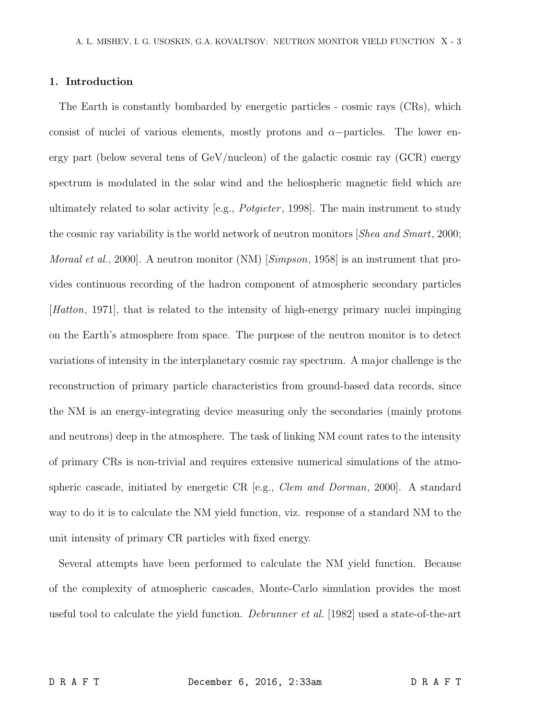### 1. Introduction

The Earth is constantly bombarded by energetic particles - cosmic rays (CRs), which consist of nuclei of various elements, mostly protons and  $\alpha$ -particles. The lower energy part (below several tens of  $GeV/nucleon$ ) of the galactic cosmic ray  $(GCR)$  energy spectrum is modulated in the solar wind and the heliospheric magnetic field which are ultimately related to solar activity [e.g., *Potgieter* , 1998]. The main instrument to study the cosmic ray variability is the world network of neutron monitors [*Shea and Smart*, 2000; *Moraal et al.*, 2000]. A neutron monitor (NM) [*Simpson*, 1958] is an instrument that provides continuous recording of the hadron component of atmospheric secondary particles [*Hatton*, 1971], that is related to the intensity of high-energy primary nuclei impinging on the Earth's atmosphere from space. The purpose of the neutron monitor is to detect variations of intensity in the interplanetary cosmic ray spectrum. A major challenge is the reconstruction of primary particle characteristics from ground-based data records, since the NM is an energy-integrating device measuring only the secondaries (mainly protons and neutrons) deep in the atmosphere. The task of linking NM count rates to the intensity of primary CRs is non-trivial and requires extensive numerical simulations of the atmospheric cascade, initiated by energetic CR [e.g., *Clem and Dorman*, 2000]. A standard way to do it is to calculate the NM yield function, viz. response of a standard NM to the unit intensity of primary CR particles with fixed energy.

Several attempts have been performed to calculate the NM yield function. Because of the complexity of atmospheric cascades, Monte-Carlo simulation provides the most useful tool to calculate the yield function. *Debrunner et al.* [1982] used a state-of-the-art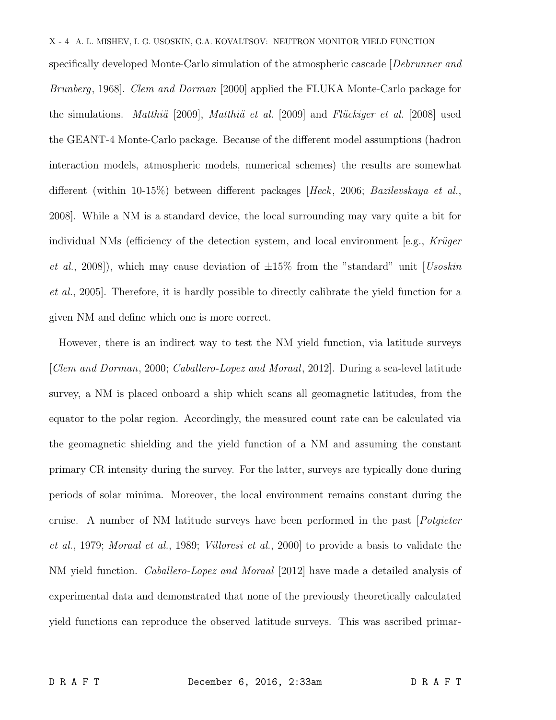## X - 4 A. L. MISHEV, I. G. USOSKIN, G.A. KOVALTSOV: NEUTRON MONITOR YIELD FUNCTION

specifically developed Monte-Carlo simulation of the atmospheric cascade [*Debrunner and Brunberg*, 1968]. *Clem and Dorman* [2000] applied the FLUKA Monte-Carlo package for the simulations. *Matthiä* [2009], *Matthiä et al.* [2009] and *Flückiger et al.* [2008] used the GEANT-4 Monte-Carlo package. Because of the different model assumptions (hadron interaction models, atmospheric models, numerical schemes) the results are somewhat different (within 10-15%) between different packages [*Heck*, 2006; *Bazilevskaya et al.*, 2008]. While a NM is a standard device, the local surrounding may vary quite a bit for individual NMs (efficiency of the detection system, and local environment [e.g., *Krüger*] *et al.*, 2008]), which may cause deviation of ±15% from the "standard" unit [*Usoskin et al.*, 2005]. Therefore, it is hardly possible to directly calibrate the yield function for a given NM and define which one is more correct.

However, there is an indirect way to test the NM yield function, via latitude surveys [*Clem and Dorman*, 2000; *Caballero-Lopez and Moraal*, 2012]. During a sea-level latitude survey, a NM is placed onboard a ship which scans all geomagnetic latitudes, from the equator to the polar region. Accordingly, the measured count rate can be calculated via the geomagnetic shielding and the yield function of a NM and assuming the constant primary CR intensity during the survey. For the latter, surveys are typically done during periods of solar minima. Moreover, the local environment remains constant during the cruise. A number of NM latitude surveys have been performed in the past [*Potgieter et al.*, 1979; *Moraal et al.*, 1989; *Villoresi et al.*, 2000] to provide a basis to validate the NM yield function. *Caballero-Lopez and Moraal* [2012] have made a detailed analysis of experimental data and demonstrated that none of the previously theoretically calculated yield functions can reproduce the observed latitude surveys. This was ascribed primar-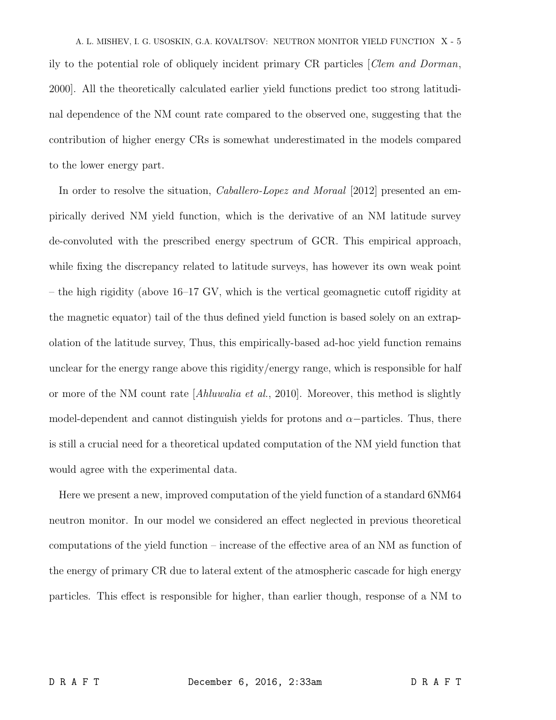A. L. MISHEV, I. G. USOSKIN, G.A. KOVALTSOV: NEUTRON MONITOR YIELD FUNCTION X - 5 ily to the potential role of obliquely incident primary CR particles [*Clem and Dorman*, 2000]. All the theoretically calculated earlier yield functions predict too strong latitudinal dependence of the NM count rate compared to the observed one, suggesting that the contribution of higher energy CRs is somewhat underestimated in the models compared to the lower energy part.

In order to resolve the situation, *Caballero-Lopez and Moraal* [2012] presented an empirically derived NM yield function, which is the derivative of an NM latitude survey de-convoluted with the prescribed energy spectrum of GCR. This empirical approach, while fixing the discrepancy related to latitude surveys, has however its own weak point – the high rigidity (above 16–17 GV, which is the vertical geomagnetic cutoff rigidity at the magnetic equator) tail of the thus defined yield function is based solely on an extrapolation of the latitude survey, Thus, this empirically-based ad-hoc yield function remains unclear for the energy range above this rigidity/energy range, which is responsible for half or more of the NM count rate [*Ahluwalia et al.*, 2010]. Moreover, this method is slightly model-dependent and cannot distinguish yields for protons and  $\alpha$ -particles. Thus, there is still a crucial need for a theoretical updated computation of the NM yield function that would agree with the experimental data.

Here we present a new, improved computation of the yield function of a standard 6NM64 neutron monitor. In our model we considered an effect neglected in previous theoretical computations of the yield function – increase of the effective area of an NM as function of the energy of primary CR due to lateral extent of the atmospheric cascade for high energy particles. This effect is responsible for higher, than earlier though, response of a NM to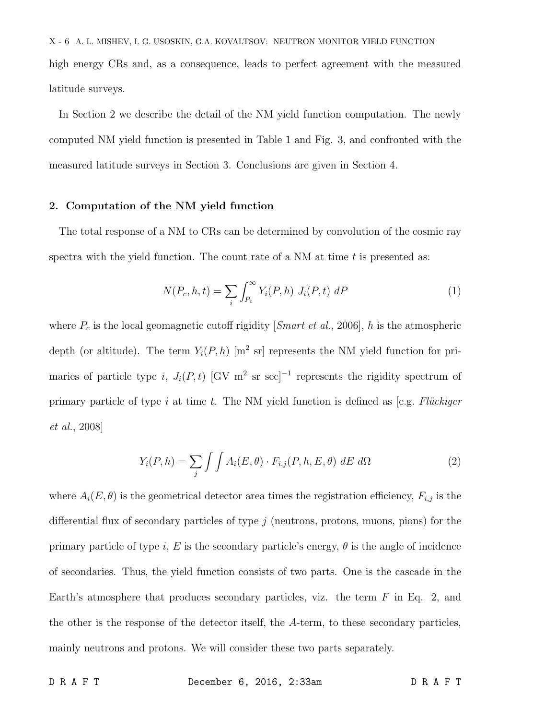X - 6 A. L. MISHEV, I. G. USOSKIN, G.A. KOVALTSOV: NEUTRON MONITOR YIELD FUNCTION high energy CRs and, as a consequence, leads to perfect agreement with the measured latitude surveys.

In Section 2 we describe the detail of the NM yield function computation. The newly computed NM yield function is presented in Table 1 and Fig. 3, and confronted with the measured latitude surveys in Section 3. Conclusions are given in Section 4.

## 2. Computation of the NM yield function

The total response of a NM to CRs can be determined by convolution of the cosmic ray spectra with the yield function. The count rate of a  $NM$  at time t is presented as:

$$
N(P_c, h, t) = \sum_{i} \int_{P_c}^{\infty} Y_i(P, h) J_i(P, t) \, dP \tag{1}
$$

where  $P_c$  is the local geomagnetic cutoff rigidity [*Smart et al.*, 2006], h is the atmospheric depth (or altitude). The term  $Y_i(P, h)$  [m<sup>2</sup> sr] represents the NM yield function for primaries of particle type i,  $J_i(P, t)$  [GV m<sup>2</sup> sr sec]<sup>-1</sup> represents the rigidity spectrum of primary particle of type i at time t. The NM yield function is defined as [e.g. *Flückiger et al.*, 2008]

$$
Y_i(P,h) = \sum_j \int \int A_i(E,\theta) \cdot F_{i,j}(P,h,E,\theta) \, dE \, d\Omega \tag{2}
$$

where  $A_i(E, \theta)$  is the geometrical detector area times the registration efficiency,  $F_{i,j}$  is the differential flux of secondary particles of type  $j$  (neutrons, protons, muons, pions) for the primary particle of type i, E is the secondary particle's energy,  $\theta$  is the angle of incidence of secondaries. Thus, the yield function consists of two parts. One is the cascade in the Earth's atmosphere that produces secondary particles, viz. the term  $F$  in Eq. 2, and the other is the response of the detector itself, the A-term, to these secondary particles, mainly neutrons and protons. We will consider these two parts separately.

D R A F T December 6, 2016, 2:33am D R A F T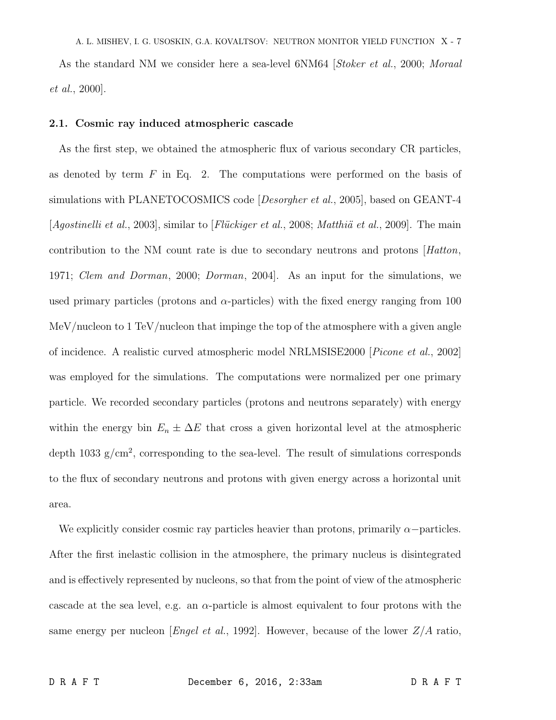As the standard NM we consider here a sea-level 6NM64 [*Stoker et al.*, 2000; *Moraal et al.*, 2000].

#### 2.1. Cosmic ray induced atmospheric cascade

As the first step, we obtained the atmospheric flux of various secondary CR particles, as denoted by term  $F$  in Eq. 2. The computations were performed on the basis of simulations with PLANETOCOSMICS code [*Desorgher et al.*, 2005], based on GEANT-4 [*Agostinelli et al.*, 2003], similar to [*Flückiger et al.*, 2008; *Matthiä et al.*, 2009]. The main contribution to the NM count rate is due to secondary neutrons and protons [*Hatton*, 1971; *Clem and Dorman*, 2000; *Dorman*, 2004]. As an input for the simulations, we used primary particles (protons and  $\alpha$ -particles) with the fixed energy ranging from 100 MeV/nucleon to 1 TeV/nucleon that impinge the top of the atmosphere with a given angle of incidence. A realistic curved atmospheric model NRLMSISE2000 [*Picone et al.*, 2002] was employed for the simulations. The computations were normalized per one primary particle. We recorded secondary particles (protons and neutrons separately) with energy within the energy bin  $E_n \pm \Delta E$  that cross a given horizontal level at the atmospheric depth 1033  $g/cm^2$ , corresponding to the sea-level. The result of simulations corresponds to the flux of secondary neutrons and protons with given energy across a horizontal unit area.

We explicitly consider cosmic ray particles heavier than protons, primarily  $\alpha$ -particles. After the first inelastic collision in the atmosphere, the primary nucleus is disintegrated and is effectively represented by nucleons, so that from the point of view of the atmospheric cascade at the sea level, e.g. an  $\alpha$ -particle is almost equivalent to four protons with the same energy per nucleon [*Engel et al.*, 1992]. However, because of the lower Z/A ratio,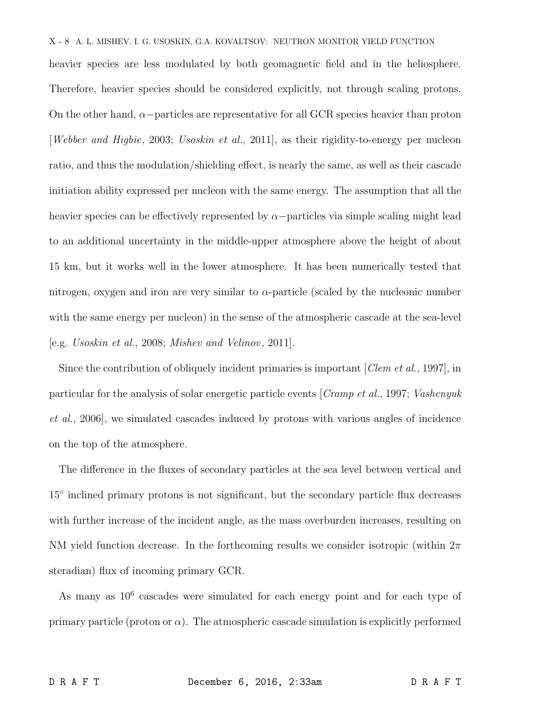## X - 8 A. L. MISHEV, I. G. USOSKIN, G.A. KOVALTSOV: NEUTRON MONITOR YIELD FUNCTION

heavier species are less modulated by both geomagnetic field and in the heliosphere. Therefore, heavier species should be considered explicitly, not through scaling protons. On the other hand,  $\alpha$ −particles are representative for all GCR species heavier than proton [*Webber and Higbie*, 2003; *Usoskin et al.*, 2011], as their rigidity-to-energy per nucleon ratio, and thus the modulation/shielding effect, is nearly the same, as well as their cascade initiation ability expressed per nucleon with the same energy. The assumption that all the heavier species can be effectively represented by  $\alpha$ −particles via simple scaling might lead to an additional uncertainty in the middle-upper atmosphere above the height of about 15 km, but it works well in the lower atmosphere. It has been numerically tested that nitrogen, oxygen and iron are very similar to  $\alpha$ -particle (scaled by the nucleonic number with the same energy per nucleon) in the sense of the atmospheric cascade at the sea-level [e.g. *Usoskin et al.*, 2008; *Mishev and Velinov*, 2011].

Since the contribution of obliquely incident primaries is important [*Clem et al.*, 1997], in particular for the analysis of solar energetic particle events [*Cramp et al.*, 1997; *Vashenyuk et al.*, 2006], we simulated cascades induced by protons with various angles of incidence on the top of the atmosphere.

The difference in the fluxes of secondary particles at the sea level between vertical and 15<sup>°</sup> inclined primary protons is not significant, but the secondary particle flux decreases with further increase of the incident angle, as the mass overburden increases, resulting on NM yield function decrease. In the forthcoming results we consider isotropic (within  $2\pi$ steradian) flux of incoming primary GCR.

As many as  $10^6$  cascades were simulated for each energy point and for each type of primary particle (proton or  $\alpha$ ). The atmospheric cascade simulation is explicitly performed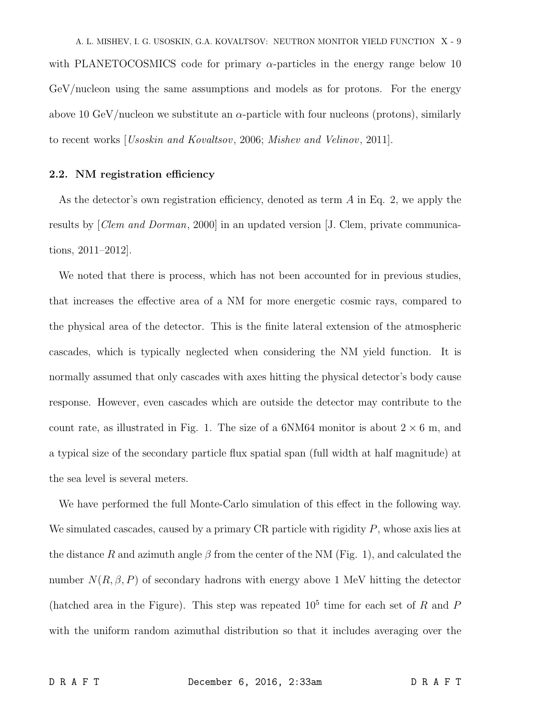A. L. MISHEV, I. G. USOSKIN, G.A. KOVALTSOV: NEUTRON MONITOR YIELD FUNCTION X - 9 with PLANETOCOSMICS code for primary  $\alpha$ -particles in the energy range below 10 GeV/nucleon using the same assumptions and models as for protons. For the energy above 10 GeV/nucleon we substitute an  $\alpha$ -particle with four nucleons (protons), similarly to recent works [*Usoskin and Kovaltsov*, 2006; *Mishev and Velinov*, 2011].

## 2.2. NM registration efficiency

As the detector's own registration efficiency, denoted as term A in Eq. 2, we apply the results by [*Clem and Dorman*, 2000] in an updated version [J. Clem, private communications, 2011–2012].

We noted that there is process, which has not been accounted for in previous studies, that increases the effective area of a NM for more energetic cosmic rays, compared to the physical area of the detector. This is the finite lateral extension of the atmospheric cascades, which is typically neglected when considering the NM yield function. It is normally assumed that only cascades with axes hitting the physical detector's body cause response. However, even cascades which are outside the detector may contribute to the count rate, as illustrated in Fig. 1. The size of a  $6NM64$  monitor is about  $2 \times 6$  m, and a typical size of the secondary particle flux spatial span (full width at half magnitude) at the sea level is several meters.

We have performed the full Monte-Carlo simulation of this effect in the following way. We simulated cascades, caused by a primary CR particle with rigidity  $P$ , whose axis lies at the distance R and azimuth angle  $\beta$  from the center of the NM (Fig. 1), and calculated the number  $N(R, \beta, P)$  of secondary hadrons with energy above 1 MeV hitting the detector (hatched area in the Figure). This step was repeated  $10<sup>5</sup>$  time for each set of R and P with the uniform random azimuthal distribution so that it includes averaging over the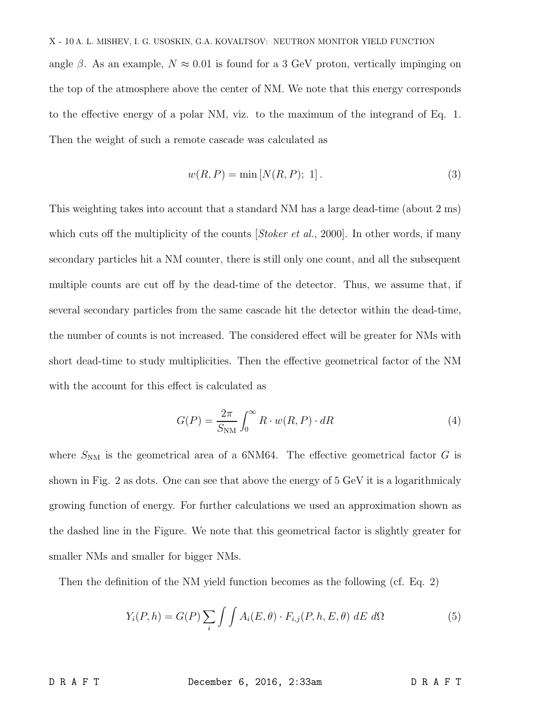angle  $\beta$ . As an example,  $N \approx 0.01$  is found for a 3 GeV proton, vertically impinging on the top of the atmosphere above the center of NM. We note that this energy corresponds to the effective energy of a polar NM, viz. to the maximum of the integrand of Eq. 1. Then the weight of such a remote cascade was calculated as

$$
w(R, P) = \min[N(R, P); 1].
$$
\n(3)

This weighting takes into account that a standard NM has a large dead-time (about 2 ms) which cuts off the multiplicity of the counts *[Stoker et al.*, 2000]. In other words, if many secondary particles hit a NM counter, there is still only one count, and all the subsequent multiple counts are cut off by the dead-time of the detector. Thus, we assume that, if several secondary particles from the same cascade hit the detector within the dead-time, the number of counts is not increased. The considered effect will be greater for NMs with short dead-time to study multiplicities. Then the effective geometrical factor of the NM with the account for this effect is calculated as

$$
G(P) = \frac{2\pi}{S_{\text{NM}}} \int_0^\infty R \cdot w(R, P) \cdot dR \tag{4}
$$

where  $S_{\text{NM}}$  is the geometrical area of a 6NM64. The effective geometrical factor G is shown in Fig. 2 as dots. One can see that above the energy of 5 GeV it is a logarithmicaly growing function of energy. For further calculations we used an approximation shown as the dashed line in the Figure. We note that this geometrical factor is slightly greater for smaller NMs and smaller for bigger NMs.

Then the definition of the NM yield function becomes as the following (cf. Eq. 2)

$$
Y_i(P, h) = G(P) \sum_i \int \int A_i(E, \theta) \cdot F_{i,j}(P, h, E, \theta) \, dE \, d\Omega \tag{5}
$$

D R A F T December 6, 2016, 2:33am D R A F T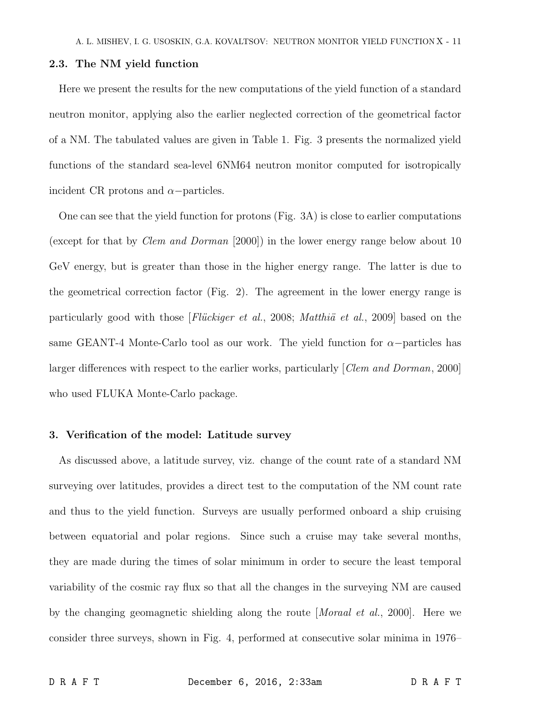#### 2.3. The NM yield function

Here we present the results for the new computations of the yield function of a standard neutron monitor, applying also the earlier neglected correction of the geometrical factor of a NM. The tabulated values are given in Table 1. Fig. 3 presents the normalized yield functions of the standard sea-level 6NM64 neutron monitor computed for isotropically incident CR protons and  $\alpha$ −particles.

One can see that the yield function for protons (Fig. 3A) is close to earlier computations (except for that by *Clem and Dorman* [2000]) in the lower energy range below about 10 GeV energy, but is greater than those in the higher energy range. The latter is due to the geometrical correction factor (Fig. 2). The agreement in the lower energy range is particularly good with those [*Flückiger et al.*, 2008; *Matthiä et al.*, 2009] based on the same GEANT-4 Monte-Carlo tool as our work. The yield function for  $\alpha$ -particles has larger differences with respect to the earlier works, particularly [*Clem and Dorman*, 2000] who used FLUKA Monte-Carlo package.

## 3. Verification of the model: Latitude survey

As discussed above, a latitude survey, viz. change of the count rate of a standard NM surveying over latitudes, provides a direct test to the computation of the NM count rate and thus to the yield function. Surveys are usually performed onboard a ship cruising between equatorial and polar regions. Since such a cruise may take several months, they are made during the times of solar minimum in order to secure the least temporal variability of the cosmic ray flux so that all the changes in the surveying NM are caused by the changing geomagnetic shielding along the route [*Moraal et al.*, 2000]. Here we consider three surveys, shown in Fig. 4, performed at consecutive solar minima in 1976–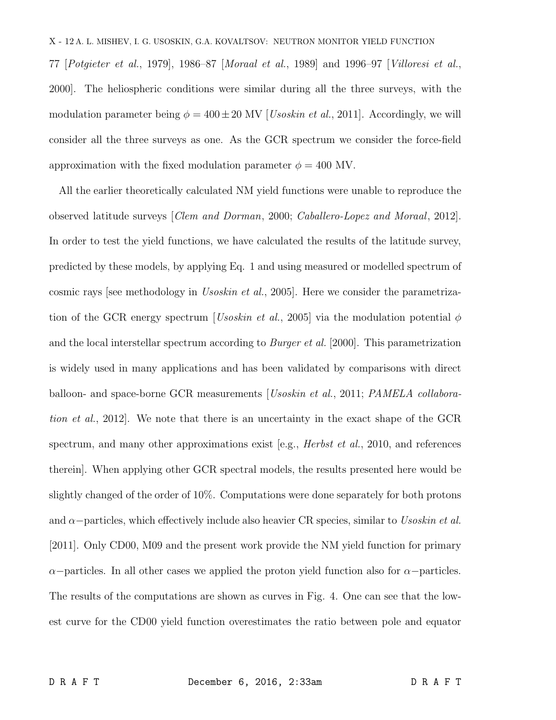77 [*Potgieter et al.*, 1979], 1986–87 [*Moraal et al.*, 1989] and 1996–97 [*Villoresi et al.*, 2000]. The heliospheric conditions were similar during all the three surveys, with the modulation parameter being  $\phi = 400 \pm 20$  MV [*Usoskin et al.*, 2011]. Accordingly, we will consider all the three surveys as one. As the GCR spectrum we consider the force-field approximation with the fixed modulation parameter  $\phi = 400$  MV.

All the earlier theoretically calculated NM yield functions were unable to reproduce the observed latitude surveys [*Clem and Dorman*, 2000; *Caballero-Lopez and Moraal*, 2012]. In order to test the yield functions, we have calculated the results of the latitude survey, predicted by these models, by applying Eq. 1 and using measured or modelled spectrum of cosmic rays [see methodology in *Usoskin et al.*, 2005]. Here we consider the parametrization of the GCR energy spectrum [*Usoskin et al.*, 2005] via the modulation potential  $\phi$ and the local interstellar spectrum according to *Burger et al.* [2000]. This parametrization is widely used in many applications and has been validated by comparisons with direct balloon- and space-borne GCR measurements [*Usoskin et al.*, 2011; *PAMELA collaboration et al.*, 2012]. We note that there is an uncertainty in the exact shape of the GCR spectrum, and many other approximations exist [e.g., *Herbst et al.*, 2010, and references therein]. When applying other GCR spectral models, the results presented here would be slightly changed of the order of 10%. Computations were done separately for both protons and α−particles, which effectively include also heavier CR species, similar to *Usoskin et al.* [2011]. Only CD00, M09 and the present work provide the NM yield function for primary  $\alpha$ −particles. In all other cases we applied the proton yield function also for  $\alpha$ −particles. The results of the computations are shown as curves in Fig. 4. One can see that the lowest curve for the CD00 yield function overestimates the ratio between pole and equator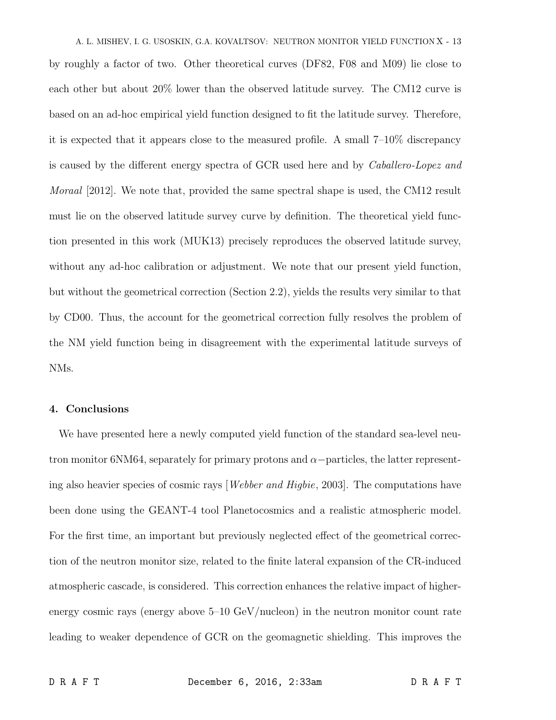A. L. MISHEV, I. G. USOSKIN, G.A. KOVALTSOV: NEUTRON MONITOR YIELD FUNCTION X - 13 by roughly a factor of two. Other theoretical curves (DF82, F08 and M09) lie close to each other but about 20% lower than the observed latitude survey. The CM12 curve is based on an ad-hoc empirical yield function designed to fit the latitude survey. Therefore, it is expected that it appears close to the measured profile. A small 7–10% discrepancy is caused by the different energy spectra of GCR used here and by *Caballero-Lopez and Moraal* [2012]. We note that, provided the same spectral shape is used, the CM12 result must lie on the observed latitude survey curve by definition. The theoretical yield function presented in this work (MUK13) precisely reproduces the observed latitude survey, without any ad-hoc calibration or adjustment. We note that our present yield function, but without the geometrical correction (Section 2.2), yields the results very similar to that by CD00. Thus, the account for the geometrical correction fully resolves the problem of the NM yield function being in disagreement with the experimental latitude surveys of NMs.

## 4. Conclusions

We have presented here a newly computed yield function of the standard sea-level neutron monitor 6NM64, separately for primary protons and  $\alpha$ -particles, the latter representing also heavier species of cosmic rays [*Webber and Higbie*, 2003]. The computations have been done using the GEANT-4 tool Planetocosmics and a realistic atmospheric model. For the first time, an important but previously neglected effect of the geometrical correction of the neutron monitor size, related to the finite lateral expansion of the CR-induced atmospheric cascade, is considered. This correction enhances the relative impact of higherenergy cosmic rays (energy above 5–10 GeV/nucleon) in the neutron monitor count rate leading to weaker dependence of GCR on the geomagnetic shielding. This improves the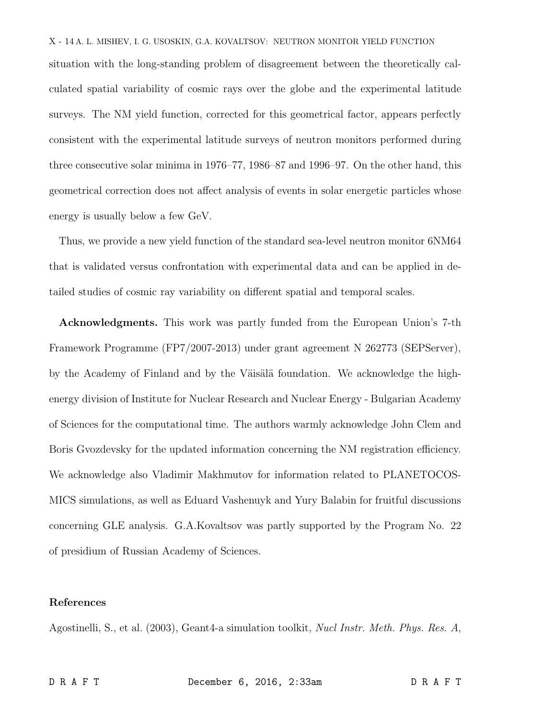## X - 14 A. L. MISHEV, I. G. USOSKIN, G.A. KOVALTSOV: NEUTRON MONITOR YIELD FUNCTION

situation with the long-standing problem of disagreement between the theoretically calculated spatial variability of cosmic rays over the globe and the experimental latitude surveys. The NM yield function, corrected for this geometrical factor, appears perfectly consistent with the experimental latitude surveys of neutron monitors performed during three consecutive solar minima in 1976–77, 1986–87 and 1996–97. On the other hand, this geometrical correction does not affect analysis of events in solar energetic particles whose energy is usually below a few GeV.

Thus, we provide a new yield function of the standard sea-level neutron monitor 6NM64 that is validated versus confrontation with experimental data and can be applied in detailed studies of cosmic ray variability on different spatial and temporal scales.

Acknowledgments. This work was partly funded from the European Union's 7-th Framework Programme (FP7/2007-2013) under grant agreement N 262773 (SEPServer), by the Academy of Finland and by the Väisälä foundation. We acknowledge the highenergy division of Institute for Nuclear Research and Nuclear Energy - Bulgarian Academy of Sciences for the computational time. The authors warmly acknowledge John Clem and Boris Gvozdevsky for the updated information concerning the NM registration efficiency. We acknowledge also Vladimir Makhmutov for information related to PLANETOCOS-MICS simulations, as well as Eduard Vashenuyk and Yury Balabin for fruitful discussions concerning GLE analysis. G.A.Kovaltsov was partly supported by the Program No. 22 of presidium of Russian Academy of Sciences.

### References

Agostinelli, S., et al. (2003), Geant4-a simulation toolkit, *Nucl Instr. Meth. Phys. Res. A*,

D R A F T December 6, 2016, 2:33am D R A F T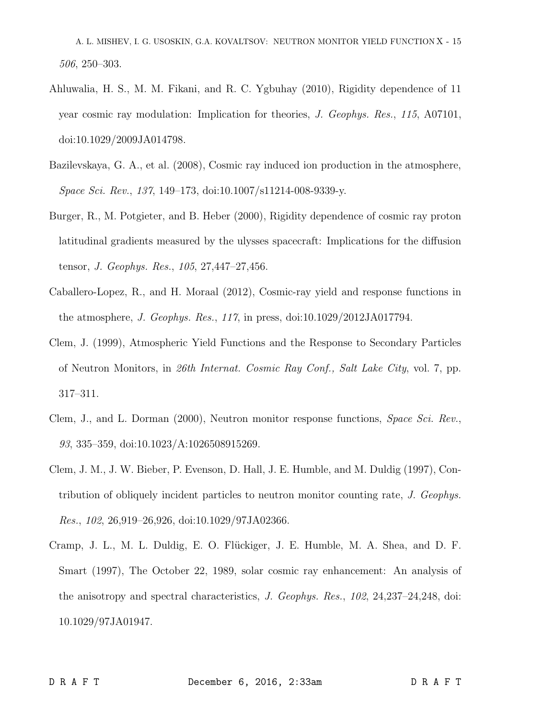A. L. MISHEV, I. G. USOSKIN, G.A. KOVALTSOV: NEUTRON MONITOR YIELD FUNCTION X - 15 *506*, 250–303.

- Ahluwalia, H. S., M. M. Fikani, and R. C. Ygbuhay (2010), Rigidity dependence of 11 year cosmic ray modulation: Implication for theories, *J. Geophys. Res.*, *115*, A07101, doi:10.1029/2009JA014798.
- Bazilevskaya, G. A., et al. (2008), Cosmic ray induced ion production in the atmosphere, *Space Sci. Rev.*, *137*, 149–173, doi:10.1007/s11214-008-9339-y.
- Burger, R., M. Potgieter, and B. Heber (2000), Rigidity dependence of cosmic ray proton latitudinal gradients measured by the ulysses spacecraft: Implications for the diffusion tensor, *J. Geophys. Res.*, *105*, 27,447–27,456.
- Caballero-Lopez, R., and H. Moraal (2012), Cosmic-ray yield and response functions in the atmosphere, *J. Geophys. Res.*, *117*, in press, doi:10.1029/2012JA017794.
- Clem, J. (1999), Atmospheric Yield Functions and the Response to Secondary Particles of Neutron Monitors, in *26th Internat. Cosmic Ray Conf., Salt Lake City*, vol. 7, pp. 317–311.
- Clem, J., and L. Dorman (2000), Neutron monitor response functions, *Space Sci. Rev.*, *93*, 335–359, doi:10.1023/A:1026508915269.
- Clem, J. M., J. W. Bieber, P. Evenson, D. Hall, J. E. Humble, and M. Duldig (1997), Contribution of obliquely incident particles to neutron monitor counting rate, *J. Geophys. Res.*, *102*, 26,919–26,926, doi:10.1029/97JA02366.
- Cramp, J. L., M. L. Duldig, E. O. Flückiger, J. E. Humble, M. A. Shea, and D. F. Smart (1997), The October 22, 1989, solar cosmic ray enhancement: An analysis of the anisotropy and spectral characteristics, *J. Geophys. Res.*, *102*, 24,237–24,248, doi: 10.1029/97JA01947.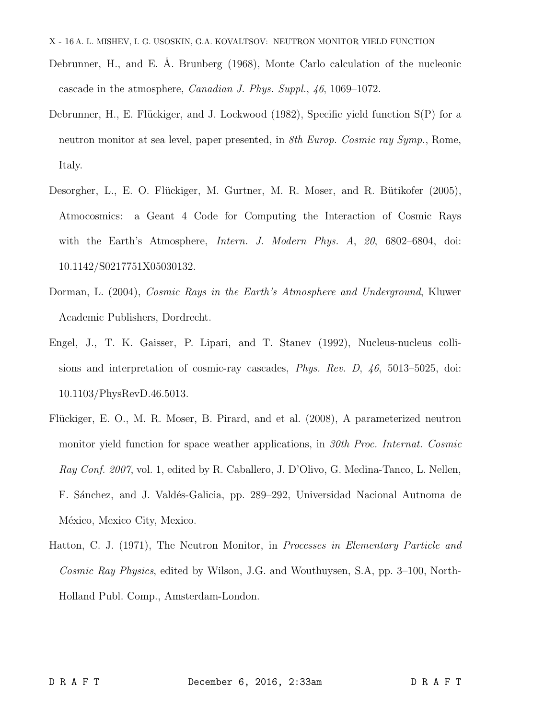- X 16 A. L. MISHEV, I. G. USOSKIN, G.A. KOVALTSOV: NEUTRON MONITOR YIELD FUNCTION
- Debrunner, H., and E. Å. Brunberg (1968), Monte Carlo calculation of the nucleonic cascade in the atmosphere, *Canadian J. Phys. Suppl.*, *46*, 1069–1072.
- Debrunner, H., E. Flückiger, and J. Lockwood  $(1982)$ , Specific yield function  $S(P)$  for a neutron monitor at sea level, paper presented, in *8th Europ. Cosmic ray Symp.*, Rome, Italy.
- Desorgher, L., E. O. Flückiger, M. Gurtner, M. R. Moser, and R. Bütikofer (2005), Atmocosmics: a Geant 4 Code for Computing the Interaction of Cosmic Rays with the Earth's Atmosphere, *Intern. J. Modern Phys. A*, *20*, 6802–6804, doi: 10.1142/S0217751X05030132.
- Dorman, L. (2004), *Cosmic Rays in the Earth's Atmosphere and Underground*, Kluwer Academic Publishers, Dordrecht.
- Engel, J., T. K. Gaisser, P. Lipari, and T. Stanev (1992), Nucleus-nucleus collisions and interpretation of cosmic-ray cascades, *Phys. Rev. D*, *46*, 5013–5025, doi: 10.1103/PhysRevD.46.5013.
- Flückiger, E. O., M. R. Moser, B. Pirard, and et al. (2008), A parameterized neutron monitor yield function for space weather applications, in *30th Proc. Internat. Cosmic Ray Conf. 2007*, vol. 1, edited by R. Caballero, J. D'Olivo, G. Medina-Tanco, L. Nellen, F. Sánchez, and J. Valdés-Galicia, pp. 289–292, Universidad Nacional Autnoma de México, Mexico City, Mexico.
- Hatton, C. J. (1971), The Neutron Monitor, in *Processes in Elementary Particle and Cosmic Ray Physics*, edited by Wilson, J.G. and Wouthuysen, S.A, pp. 3–100, North-Holland Publ. Comp., Amsterdam-London.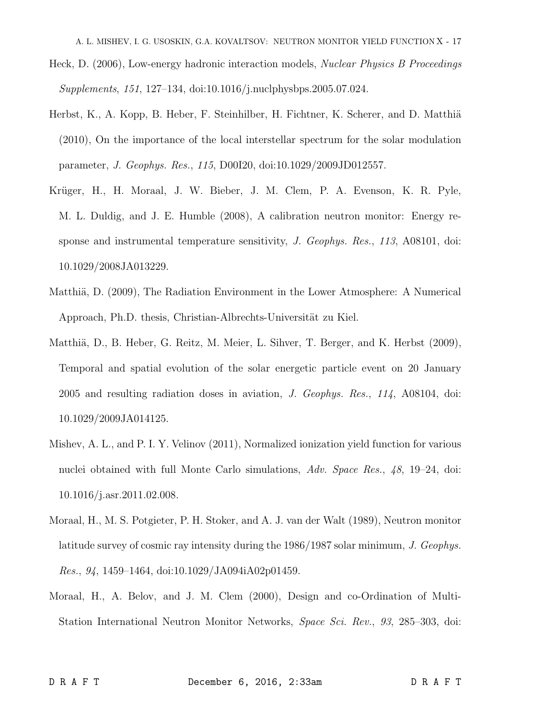A. L. MISHEV, I. G. USOSKIN, G.A. KOVALTSOV: NEUTRON MONITOR YIELD FUNCTION X - 17

- Heck, D. (2006), Low-energy hadronic interaction models, *Nuclear Physics B Proceedings Supplements*, *151*, 127–134, doi:10.1016/j.nuclphysbps.2005.07.024.
- Herbst, K., A. Kopp, B. Heber, F. Steinhilber, H. Fichtner, K. Scherer, and D. Matthiä (2010), On the importance of the local interstellar spectrum for the solar modulation parameter, *J. Geophys. Res.*, *115*, D00I20, doi:10.1029/2009JD012557.
- Krüger, H., H. Moraal, J. W. Bieber, J. M. Clem, P. A. Evenson, K. R. Pyle, M. L. Duldig, and J. E. Humble (2008), A calibration neutron monitor: Energy response and instrumental temperature sensitivity, *J. Geophys. Res.*, *113*, A08101, doi: 10.1029/2008JA013229.
- Matthiä, D. (2009), The Radiation Environment in the Lower Atmosphere: A Numerical Approach, Ph.D. thesis, Christian-Albrechts-Universität zu Kiel.
- Matthiä, D., B. Heber, G. Reitz, M. Meier, L. Sihver, T. Berger, and K. Herbst (2009), Temporal and spatial evolution of the solar energetic particle event on 20 January 2005 and resulting radiation doses in aviation, *J. Geophys. Res.*, *114*, A08104, doi: 10.1029/2009JA014125.
- Mishev, A. L., and P. I. Y. Velinov (2011), Normalized ionization yield function for various nuclei obtained with full Monte Carlo simulations, *Adv. Space Res.*, *48*, 19–24, doi: 10.1016/j.asr.2011.02.008.
- Moraal, H., M. S. Potgieter, P. H. Stoker, and A. J. van der Walt (1989), Neutron monitor latitude survey of cosmic ray intensity during the 1986/1987 solar minimum, *J. Geophys. Res.*, *94*, 1459–1464, doi:10.1029/JA094iA02p01459.
- Moraal, H., A. Belov, and J. M. Clem (2000), Design and co-Ordination of Multi-Station International Neutron Monitor Networks, *Space Sci. Rev.*, *93*, 285–303, doi: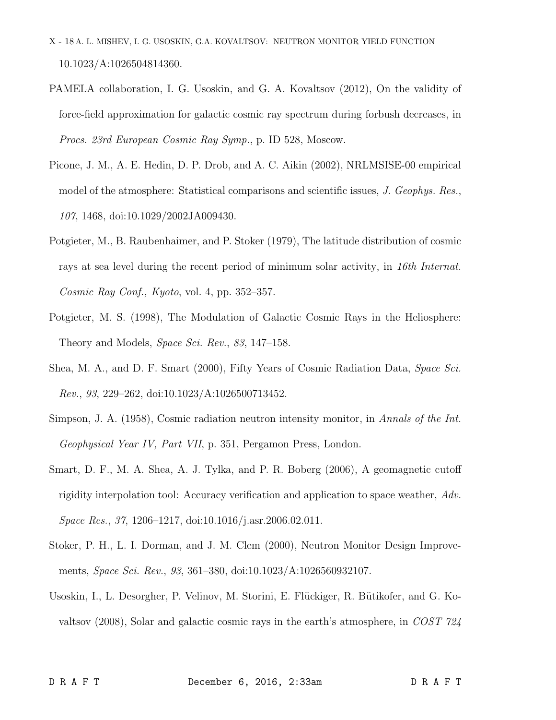- X 18 A. L. MISHEV, I. G. USOSKIN, G.A. KOVALTSOV: NEUTRON MONITOR YIELD FUNCTION 10.1023/A:1026504814360.
- PAMELA collaboration, I. G. Usoskin, and G. A. Kovaltsov (2012), On the validity of force-field approximation for galactic cosmic ray spectrum during forbush decreases, in *Procs. 23rd European Cosmic Ray Symp.*, p. ID 528, Moscow.
- Picone, J. M., A. E. Hedin, D. P. Drob, and A. C. Aikin (2002), NRLMSISE-00 empirical model of the atmosphere: Statistical comparisons and scientific issues, *J. Geophys. Res.*, *107*, 1468, doi:10.1029/2002JA009430.
- Potgieter, M., B. Raubenhaimer, and P. Stoker (1979), The latitude distribution of cosmic rays at sea level during the recent period of minimum solar activity, in *16th Internat. Cosmic Ray Conf., Kyoto*, vol. 4, pp. 352–357.
- Potgieter, M. S. (1998), The Modulation of Galactic Cosmic Rays in the Heliosphere: Theory and Models, *Space Sci. Rev.*, *83*, 147–158.
- Shea, M. A., and D. F. Smart (2000), Fifty Years of Cosmic Radiation Data, *Space Sci. Rev.*, *93*, 229–262, doi:10.1023/A:1026500713452.
- Simpson, J. A. (1958), Cosmic radiation neutron intensity monitor, in *Annals of the Int. Geophysical Year IV, Part VII*, p. 351, Pergamon Press, London.
- Smart, D. F., M. A. Shea, A. J. Tylka, and P. R. Boberg (2006), A geomagnetic cutoff rigidity interpolation tool: Accuracy verification and application to space weather, *Adv. Space Res.*, *37*, 1206–1217, doi:10.1016/j.asr.2006.02.011.
- Stoker, P. H., L. I. Dorman, and J. M. Clem (2000), Neutron Monitor Design Improvements, *Space Sci. Rev.*, *93*, 361–380, doi:10.1023/A:1026560932107.
- Usoskin, I., L. Desorgher, P. Velinov, M. Storini, E. Flückiger, R. Bütikofer, and G. Kovaltsov (2008), Solar and galactic cosmic rays in the earth's atmosphere, in *COST 724*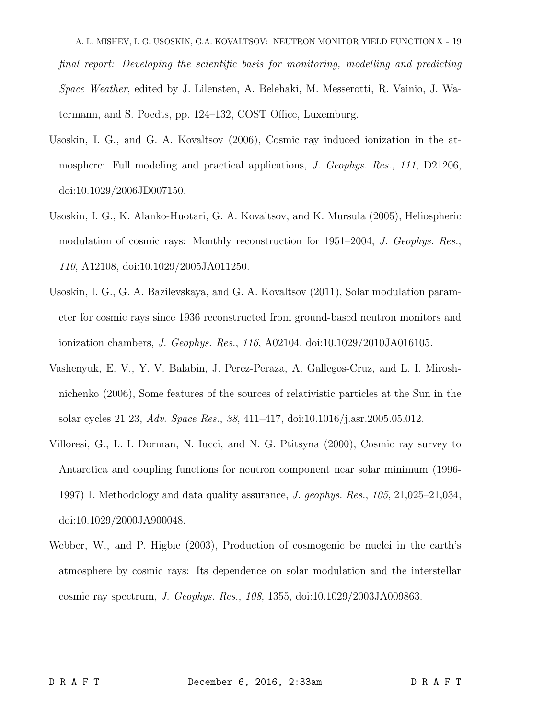A. L. MISHEV, I. G. USOSKIN, G.A. KOVALTSOV: NEUTRON MONITOR YIELD FUNCTION X - 19 *final report: Developing the scientific basis for monitoring, modelling and predicting Space Weather*, edited by J. Lilensten, A. Belehaki, M. Messerotti, R. Vainio, J. Watermann, and S. Poedts, pp. 124–132, COST Office, Luxemburg.

- Usoskin, I. G., and G. A. Kovaltsov (2006), Cosmic ray induced ionization in the atmosphere: Full modeling and practical applications, *J. Geophys. Res.*, *111*, D21206, doi:10.1029/2006JD007150.
- Usoskin, I. G., K. Alanko-Huotari, G. A. Kovaltsov, and K. Mursula (2005), Heliospheric modulation of cosmic rays: Monthly reconstruction for 1951–2004, *J. Geophys. Res.*, *110*, A12108, doi:10.1029/2005JA011250.
- Usoskin, I. G., G. A. Bazilevskaya, and G. A. Kovaltsov (2011), Solar modulation parameter for cosmic rays since 1936 reconstructed from ground-based neutron monitors and ionization chambers, *J. Geophys. Res.*, *116*, A02104, doi:10.1029/2010JA016105.
- Vashenyuk, E. V., Y. V. Balabin, J. Perez-Peraza, A. Gallegos-Cruz, and L. I. Miroshnichenko (2006), Some features of the sources of relativistic particles at the Sun in the solar cycles 21 23, *Adv. Space Res.*, *38*, 411–417, doi:10.1016/j.asr.2005.05.012.
- Villoresi, G., L. I. Dorman, N. Iucci, and N. G. Ptitsyna (2000), Cosmic ray survey to Antarctica and coupling functions for neutron component near solar minimum (1996- 1997) 1. Methodology and data quality assurance, *J. geophys. Res.*, *105*, 21,025–21,034, doi:10.1029/2000JA900048.
- Webber, W., and P. Higbie (2003), Production of cosmogenic be nuclei in the earth's atmosphere by cosmic rays: Its dependence on solar modulation and the interstellar cosmic ray spectrum, *J. Geophys. Res.*, *108*, 1355, doi:10.1029/2003JA009863.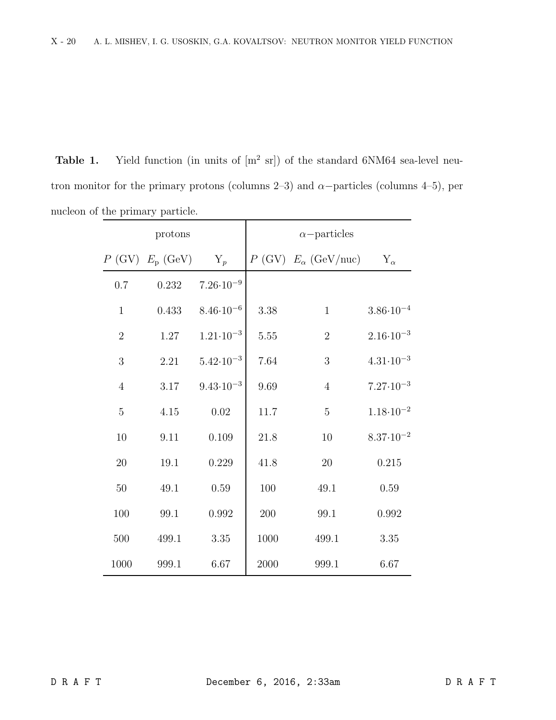**Table 1.** Yield function (in units of  $[m^2 \text{ sr}])$  of the standard 6NM64 sea-level neutron monitor for the primary protons (columns 2–3) and  $\alpha$ -particles (columns 4–5), per nucleon of the primary particle.

| protons        |                      |                      | $\alpha$ -particles |                                 |                      |
|----------------|----------------------|----------------------|---------------------|---------------------------------|----------------------|
|                | $P$ (GV) $E_p$ (GeV) | $Y_p$                |                     | $P$ (GV) $E_{\alpha}$ (GeV/nuc) | $Y_{\alpha}$         |
| 0.7            | 0.232                | $7.26 \cdot 10^{-9}$ |                     |                                 |                      |
| $\mathbf{1}$   | 0.433                | $8.46 \cdot 10^{-6}$ | 3.38                | $\mathbf{1}$                    | $3.86 \cdot 10^{-4}$ |
| $\overline{2}$ | $1.27\,$             | $1.21 \cdot 10^{-3}$ | 5.55                | $\sqrt{2}$                      | $2.16 \cdot 10^{-3}$ |
| $\mathfrak{Z}$ | 2.21                 | $5.42 \cdot 10^{-3}$ | 7.64                | $\mathfrak{Z}$                  | $4.31 \cdot 10^{-3}$ |
| $\overline{4}$ | $3.17\,$             | $9.43 \cdot 10^{-3}$ | 9.69                | $\overline{4}$                  | $7.27 \cdot 10^{-3}$ |
| $\bf 5$        | $4.15\,$             | $0.02\,$             | $11.7\,$            | $\mathbf 5$                     | $1.18 \cdot 10^{-2}$ |
| 10             | 9.11                 | 0.109                | 21.8                | 10                              | $8.37 \cdot 10^{-2}$ |
| 20             | 19.1                 | 0.229                | 41.8                | $20\,$                          | 0.215                |
| 50             | 49.1                 | 0.59                 | 100                 | 49.1                            | 0.59                 |
| 100            | 99.1                 | 0.992                | 200                 | 99.1                            | 0.992                |
| 500            | 499.1                | 3.35                 | 1000                | 499.1                           | 3.35                 |
| 1000           | 999.1                | 6.67                 | 2000                | 999.1                           | 6.67                 |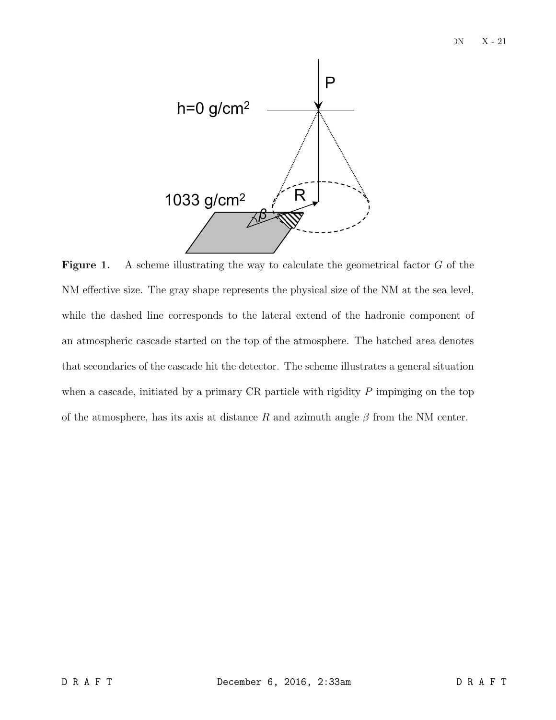

**Figure 1.** A scheme illustrating the way to calculate the geometrical factor  $G$  of the NM effective size. The gray shape represents the physical size of the NM at the sea level, while the dashed line corresponds to the lateral extend of the hadronic component of an atmospheric cascade started on the top of the atmosphere. The hatched area denotes that secondaries of the cascade hit the detector. The scheme illustrates a general situation when a cascade, initiated by a primary CR particle with rigidity  $P$  impinging on the top of the atmosphere, has its axis at distance R and azimuth angle  $\beta$  from the NM center.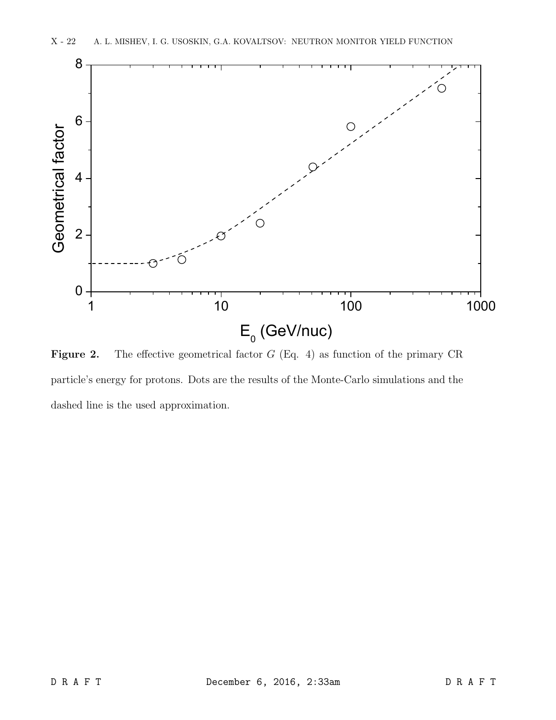

**Figure 2.** The effective geometrical factor  $G$  (Eq. 4) as function of the primary CR particle's energy for protons. Dots are the results of the Monte-Carlo simulations and the dashed line is the used approximation.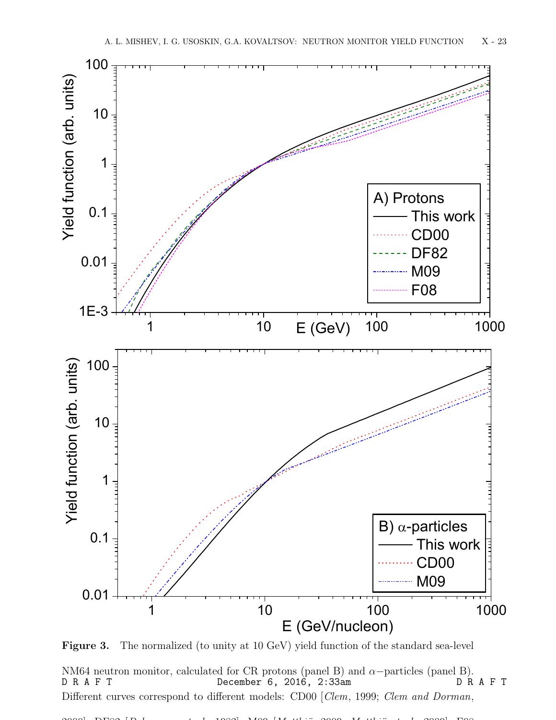

Figure 3. The normalized (to unity at 10 GeV) yield function of the standard sea-level

NM64 neutron monitor, calculated for CR protons (panel B) and  $\alpha$ -particles (panel B).<br>D R A F T December 6, 2016, 2:33am D R A F T Different curves correspond to different models: CD00 [*Clem*, 1999; *Clem and Dorman*, December 6, 2016,  $2:33$ am

2000]; DF82 [*Debrunner et al.*, 1982]; M09 [*Matthi¨a*, 2009; *Matthi¨a et al.*, 2009]; F08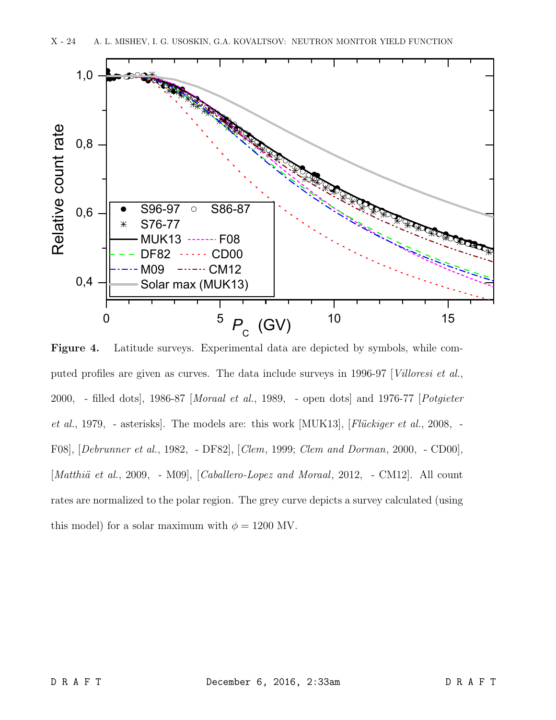

Figure 4. Latitude surveys. Experimental data are depicted by symbols, while computed profiles are given as curves. The data include surveys in 1996-97 [*Villoresi et al.*, 2000, - filled dots], 1986-87 [*Moraal et al.*, 1989, - open dots] and 1976-77 [*Potgieter et al.*, 1979, - asterisks. The models are: this work [MUK13], [*Flückiger et al.*, 2008, -F08], [*Debrunner et al.*, 1982, - DF82], [*Clem*, 1999; *Clem and Dorman*, 2000, - CD00], [*Matthiä et al.*, 2009, - M09], [*Caballero-Lopez and Moraal*, 2012, - CM12]. All count rates are normalized to the polar region. The grey curve depicts a survey calculated (using this model) for a solar maximum with  $\phi = 1200$  MV.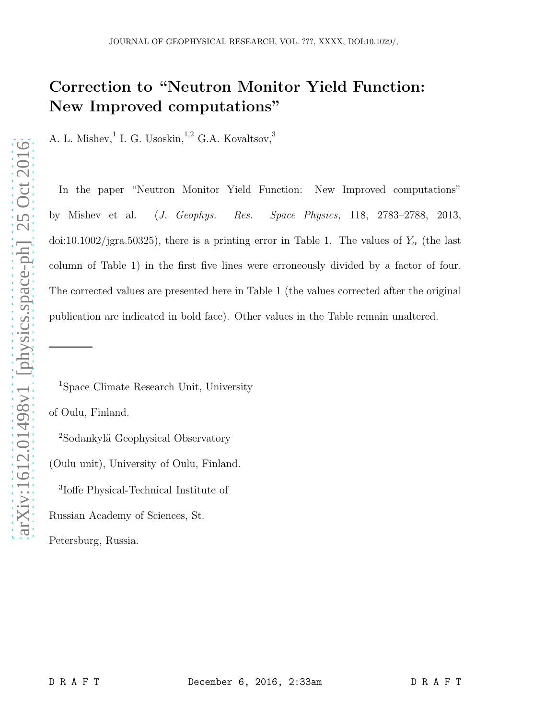# Correction to "Neutron Monitor Yield Function: New Improved computations"

A. L. Mishev, <sup>1</sup> I. G. Usoskin, <sup>1,2</sup> G.A. Kovaltsov,<sup>3</sup>

In the paper "Neutron Monitor Yield Function: New Improved computations" by Mishev et al. (J. Geophys. Res. Space Physics, 118, 2783–2788, 2013, doi:10.1002/jgra.50325), there is a printing error in Table 1. The values of  $Y_\alpha$  (the last column of Table 1) in the first five lines were erroneously divided by a factor of four. The corrected values are presented here in Table 1 (the values corrected after the original publication are indicated in bold face). Other values in the Table remain unaltered.

<sup>1</sup>Space Climate Research Unit, University of Oulu, Finland.

<sup>2</sup>Sodankylä Geophysical Observatory (Oulu unit), University of Oulu, Finland. 3 Ioffe Physical-Technical Institute of Russian Academy of Sciences, St. Petersburg, Russia.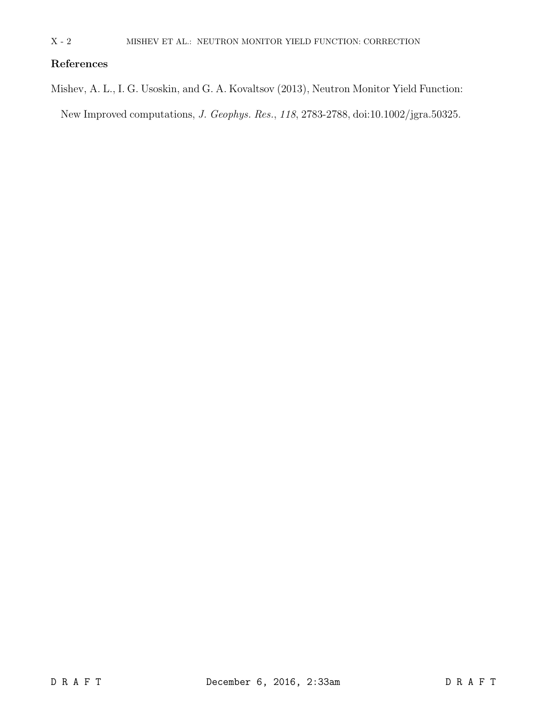## References

Mishev, A. L., I. G. Usoskin, and G. A. Kovaltsov (2013), Neutron Monitor Yield Function:

New Improved computations, J. Geophys. Res., 118, 2783-2788, doi:10.1002/jgra.50325.